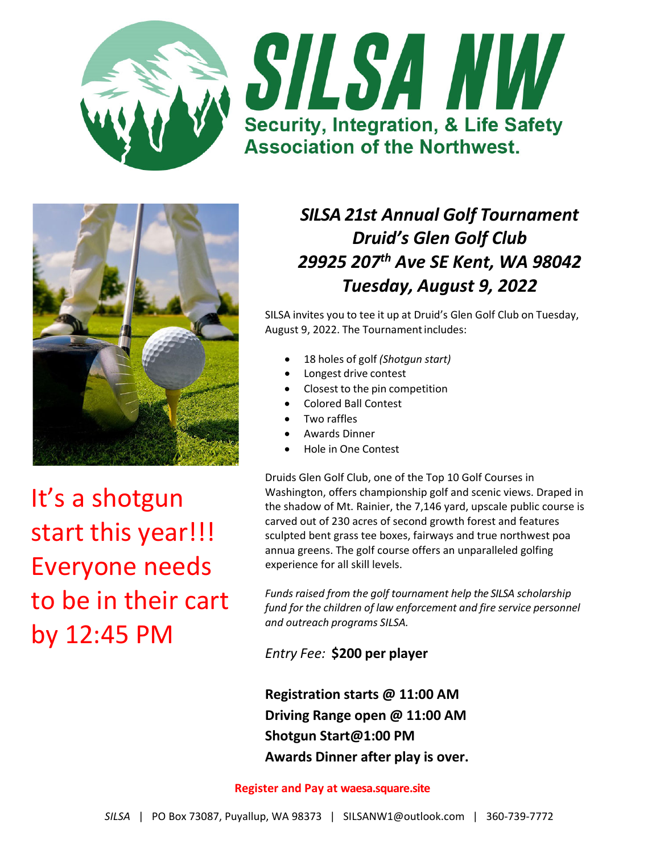





It's a shotgun start this year!!! Everyone needs to be in their cart by 12:45 PM

# *SILSA 21st Annual Golf Tournament Druid's Glen Golf Club 29925 207th Ave SE Kent, WA 98042 Tuesday, August 9, 2022*

SILSA invites you to tee it up at Druid's Glen Golf Club on Tuesday, August 9, 2022. The Tournamentincludes:

- 18 holes of golf *(Shotgun start)*
- Longest drive contest
- Closest to the pin competition
- Colored Ball Contest
- Two raffles
- Awards Dinner
- Hole in One Contest

Druids Glen Golf Club, one of the Top 10 Golf Courses in Washington, offers championship golf and scenic views. Draped in the shadow of Mt. Rainier, the 7,146 yard, upscale public course is carved out of 230 acres of second growth forest and features sculpted bent grass tee boxes, fairways and true northwest poa annua greens. The golf course offers an unparalleled golfing experience for all skill levels.

*Funds raised from the golf tournament help the SILSA scholarship fund for the children of law enforcement and fire service personnel and outreach programs SILSA.*

*Entry Fee:* **\$200 per player**

**Registration starts @ 11:00 AM Driving Range open @ 11:00 AM Shotgun Start@1:00 PM Awards Dinner after play is over.** 

#### **Register and Pay at waesa.square.site**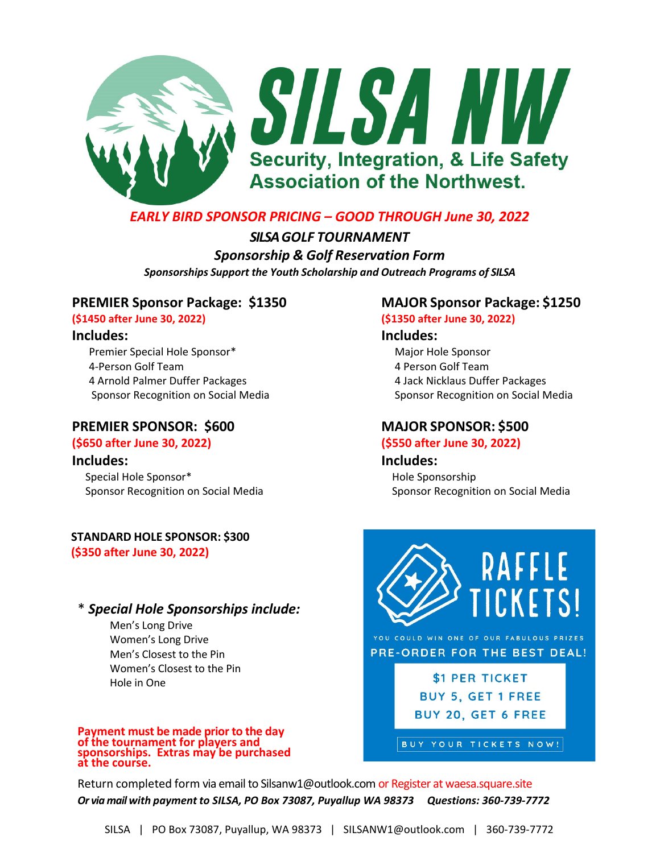

### *EARLY BIRD SPONSOR PRICING – GOOD THROUGH June 30, 2022*

*SILSAGOLF TOURNAMENT Sponsorship & Golf Reservation Form Sponsorships Support the Youth Scholarship and Outreach Programs of SILSA*

### **PREMIER Sponsor Package: \$1350 MAJOR Sponsor Package: \$1250**

**(\$1450 after June 30, 2022) (\$1350 after June 30, 2022)**

Premier Special Hole Sponsor\* Major Hole Sponsor 4‐Person Golf Team 4 Person Golf Team 4 Arnold Palmer Duffer Packages 4 Jack Nicklaus Duffer Packages

### **PREMIER SPONSOR: \$600 MAJOR SPONSOR: \$500**

 Special Hole Sponsor\*Hole Sponsorship  Sponsor Recognition on Social Media Sponsor Recognition on Social Media

## **STANDARD HOLE SPONSOR: \$300**

**(\$350 after June 30, 2022)**

### \* *Special Hole Sponsorships include:*

Men's Long Drive Women's Long Drive Men's Closest to the Pin Women's Closest to the Pin Hole in One

# Payment must be made prior to the day<br>of the tournament for players and<br>sponsorships. Extras may be purchased<br>at the course.

### **Includes: Includes:**

Sponsor Recognition on Social Media Sponsor Recognition on Social Media

### **(\$650 after June 30, 2022) (\$550 after June 30, 2022)**

**Includes: Includes:**



YOU COULD WIN ONE OF OUR FABULOUS PRIZES PRE-ORDER FOR THE BEST DEAL!

> \$1 PER TICKET **BUY 5, GET 1 FREE** BUY 20, GET 6 FREE

BUY YOUR TICKETS NOW!

Return completed form via email to Silsanw1@outlook.com or Register at waesa.square.site Or via mail with payment to SILSA, PO Box 73087, Puyallup WA 98373 Questions: 360-739-7772